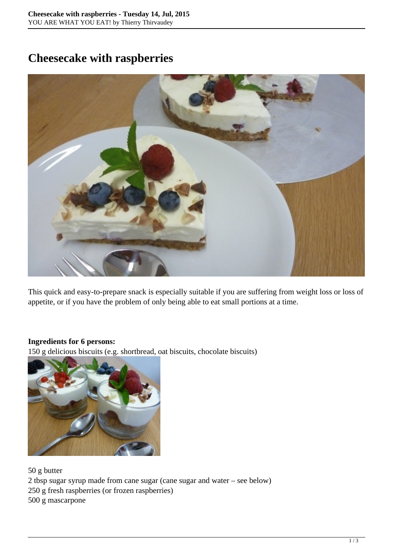## **Cheesecake with raspberries**



This quick and easy-to-prepare snack is especially suitable if you are suffering from weight loss or loss of appetite, or if you have the problem of only being able to eat small portions at a time.

## **Ingredients for 6 persons:**

150 g delicious biscuits (e.g. shortbread, oat biscuits, chocolate biscuits)



50 g butter

2 tbsp sugar syrup made from cane sugar (cane sugar and water – see below)

250 g fresh raspberries (or frozen raspberries)

500 g mascarpone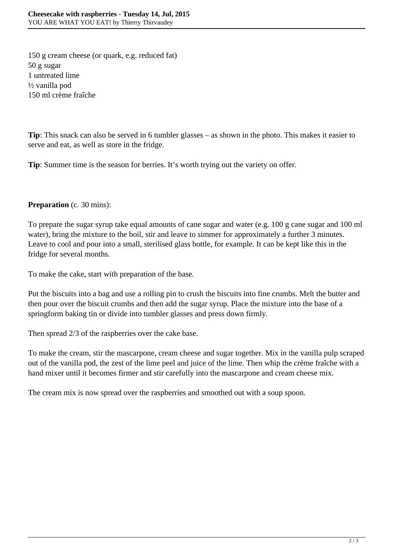150 g cream cheese (or quark, e.g. reduced fat) 50 g sugar 1 untreated lime ½ vanilla pod 150 ml crème fraîche

**Tip**: This snack can also be served in 6 tumbler glasses – as shown in the photo. This makes it easier to serve and eat, as well as store in the fridge.

**Tip**: Summer time is the season for berries. It's worth trying out the variety on offer.

## **Preparation** (c. 30 mins):

To prepare the sugar syrup take equal amounts of cane sugar and water (e.g. 100 g cane sugar and 100 ml water), bring the mixture to the boil, stir and leave to simmer for approximately a further 3 minutes. Leave to cool and pour into a small, sterilised glass bottle, for example. It can be kept like this in the fridge for several months.

To make the cake, start with preparation of the base.

Put the biscuits into a bag and use a rolling pin to crush the biscuits into fine crumbs. Melt the butter and then pour over the biscuit crumbs and then add the sugar syrup. Place the mixture into the base of a springform baking tin or divide into tumbler glasses and press down firmly.

Then spread 2/3 of the raspberries over the cake base.

To make the cream, stir the mascarpone, cream cheese and sugar together. Mix in the vanilla pulp scraped out of the vanilla pod, the zest of the lime peel and juice of the lime. Then whip the crème fraîche with a hand mixer until it becomes firmer and stir carefully into the mascarpone and cream cheese mix.

The cream mix is now spread over the raspberries and smoothed out with a soup spoon.